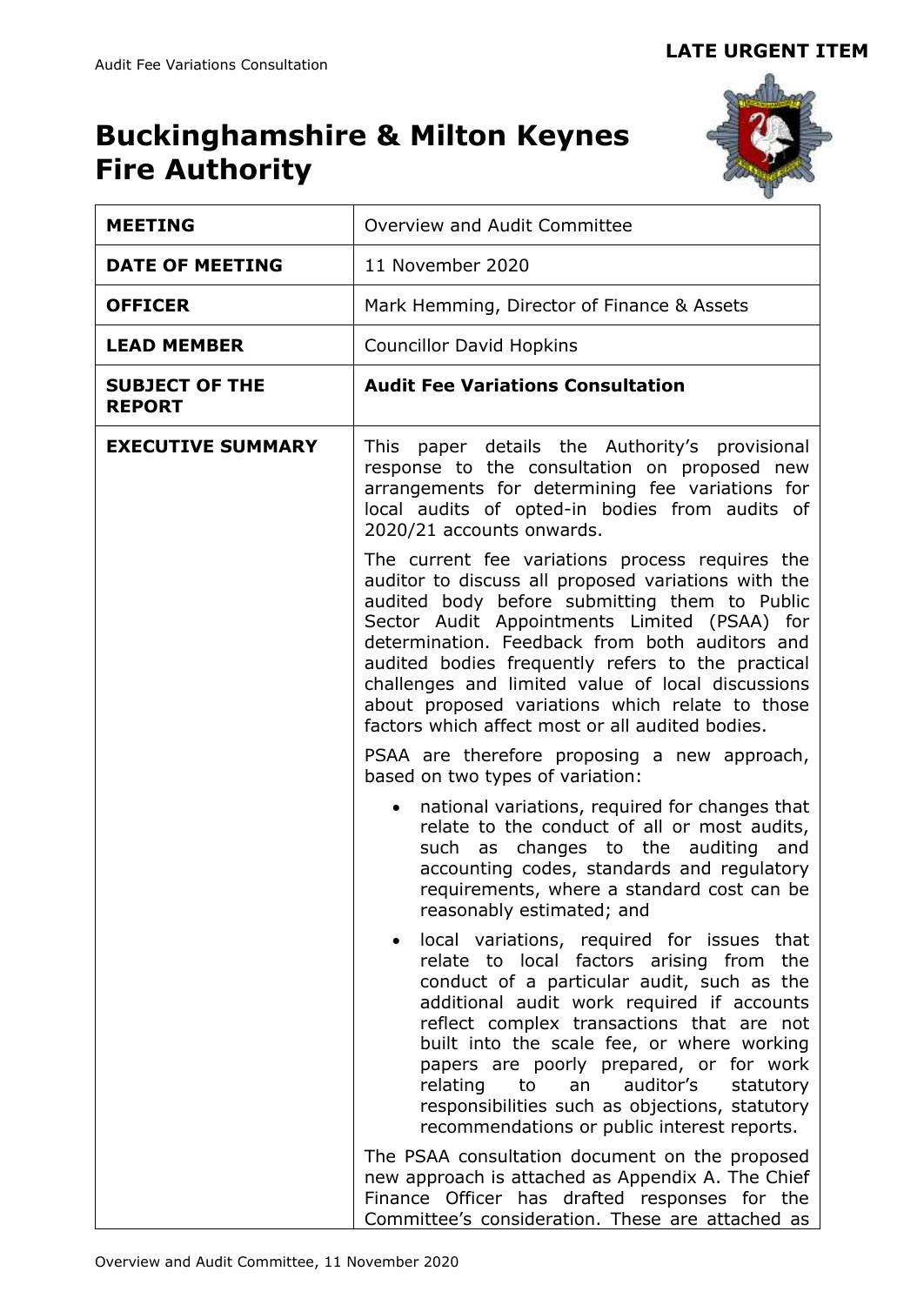# **Buckinghamshire & Milton Keynes Fire Authority**



| <b>MEETING</b>                         | Overview and Audit Committee                                                                                                                                                                                                                                                                                                                                                                                                                                                |  |  |  |  |
|----------------------------------------|-----------------------------------------------------------------------------------------------------------------------------------------------------------------------------------------------------------------------------------------------------------------------------------------------------------------------------------------------------------------------------------------------------------------------------------------------------------------------------|--|--|--|--|
| <b>DATE OF MEETING</b>                 | 11 November 2020                                                                                                                                                                                                                                                                                                                                                                                                                                                            |  |  |  |  |
| <b>OFFICER</b>                         | Mark Hemming, Director of Finance & Assets                                                                                                                                                                                                                                                                                                                                                                                                                                  |  |  |  |  |
| <b>LEAD MEMBER</b>                     | <b>Councillor David Hopkins</b>                                                                                                                                                                                                                                                                                                                                                                                                                                             |  |  |  |  |
| <b>SUBJECT OF THE</b><br><b>REPORT</b> | <b>Audit Fee Variations Consultation</b>                                                                                                                                                                                                                                                                                                                                                                                                                                    |  |  |  |  |
| <b>EXECUTIVE SUMMARY</b>               | This paper details the Authority's provisional<br>response to the consultation on proposed new<br>arrangements for determining fee variations for<br>local audits of opted-in bodies from audits of<br>2020/21 accounts onwards.                                                                                                                                                                                                                                            |  |  |  |  |
|                                        | The current fee variations process requires the<br>auditor to discuss all proposed variations with the<br>audited body before submitting them to Public<br>Sector Audit Appointments Limited (PSAA) for<br>determination. Feedback from both auditors and<br>audited bodies frequently refers to the practical<br>challenges and limited value of local discussions<br>about proposed variations which relate to those<br>factors which affect most or all audited bodies.  |  |  |  |  |
|                                        | PSAA are therefore proposing a new approach,<br>based on two types of variation:                                                                                                                                                                                                                                                                                                                                                                                            |  |  |  |  |
|                                        | national variations, required for changes that<br>relate to the conduct of all or most audits,<br>changes to the auditing and<br>such as<br>accounting codes, standards and regulatory<br>requirements, where a standard cost can be<br>reasonably estimated; and                                                                                                                                                                                                           |  |  |  |  |
|                                        | local variations, required for issues that<br>relate to local factors arising from<br>the<br>conduct of a particular audit, such as the<br>additional audit work required if accounts<br>reflect complex transactions that are not<br>built into the scale fee, or where working<br>papers are poorly prepared, or for work<br>relating to<br>auditor's<br>an<br>statutory<br>responsibilities such as objections, statutory<br>recommendations or public interest reports. |  |  |  |  |
|                                        | The PSAA consultation document on the proposed<br>new approach is attached as Appendix A. The Chief<br>Finance Officer has drafted responses for the<br>Committee's consideration. These are attached as                                                                                                                                                                                                                                                                    |  |  |  |  |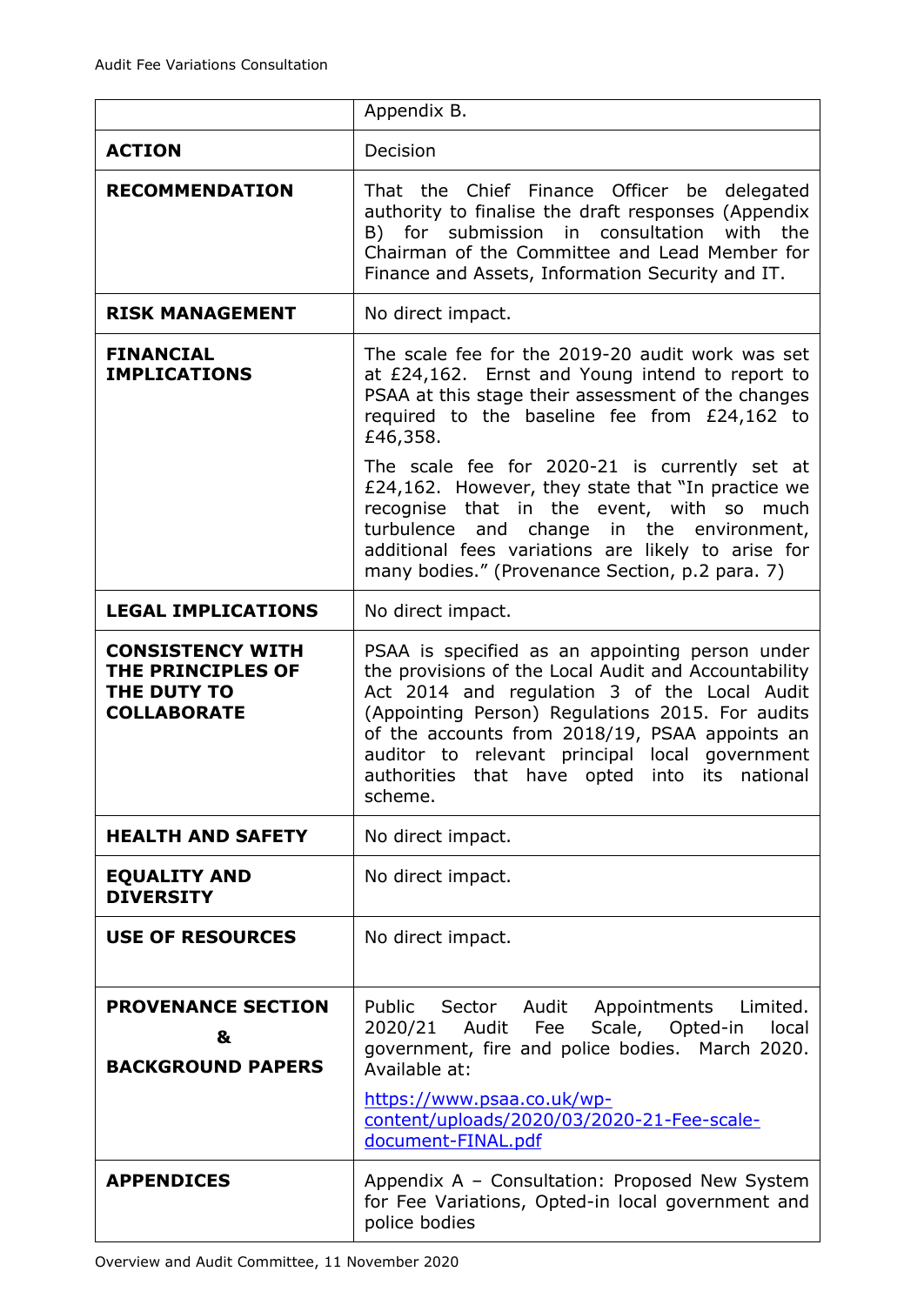|                                                                                   | Appendix B.                                                                                                                                                                                                                                                                                                                                                                 |  |  |  |  |  |  |
|-----------------------------------------------------------------------------------|-----------------------------------------------------------------------------------------------------------------------------------------------------------------------------------------------------------------------------------------------------------------------------------------------------------------------------------------------------------------------------|--|--|--|--|--|--|
| <b>ACTION</b>                                                                     | Decision                                                                                                                                                                                                                                                                                                                                                                    |  |  |  |  |  |  |
| <b>RECOMMENDATION</b>                                                             | That the Chief Finance Officer be<br>delegated<br>authority to finalise the draft responses (Appendix<br>in consultation<br>with the<br>submission<br>B)<br>for<br>Chairman of the Committee and Lead Member for<br>Finance and Assets, Information Security and IT.                                                                                                        |  |  |  |  |  |  |
| <b>RISK MANAGEMENT</b>                                                            | No direct impact.                                                                                                                                                                                                                                                                                                                                                           |  |  |  |  |  |  |
| <b>FINANCIAL</b><br><b>IMPLICATIONS</b>                                           | The scale fee for the 2019-20 audit work was set<br>at £24,162. Ernst and Young intend to report to<br>PSAA at this stage their assessment of the changes<br>required to the baseline fee from £24,162 to<br>£46,358.                                                                                                                                                       |  |  |  |  |  |  |
|                                                                                   | The scale fee for 2020-21 is currently set at<br>£24,162. However, they state that "In practice we<br>recognise that in the event, with so<br>much<br>turbulence<br>change in the environment,<br>and<br>additional fees variations are likely to arise for<br>many bodies." (Provenance Section, p.2 para. 7)                                                              |  |  |  |  |  |  |
| <b>LEGAL IMPLICATIONS</b>                                                         | No direct impact.                                                                                                                                                                                                                                                                                                                                                           |  |  |  |  |  |  |
| <b>CONSISTENCY WITH</b><br>THE PRINCIPLES OF<br>THE DUTY TO<br><b>COLLABORATE</b> | PSAA is specified as an appointing person under<br>the provisions of the Local Audit and Accountability<br>Act 2014 and regulation 3 of the Local Audit<br>(Appointing Person) Regulations 2015. For audits<br>of the accounts from 2018/19, PSAA appoints an<br>auditor to relevant principal local government<br>authorities that have opted into its national<br>scheme. |  |  |  |  |  |  |
| <b>HEALTH AND SAFETY</b>                                                          | No direct impact.                                                                                                                                                                                                                                                                                                                                                           |  |  |  |  |  |  |
| <b>EQUALITY AND</b><br><b>DIVERSITY</b>                                           | No direct impact.                                                                                                                                                                                                                                                                                                                                                           |  |  |  |  |  |  |
| <b>USE OF RESOURCES</b>                                                           | No direct impact.                                                                                                                                                                                                                                                                                                                                                           |  |  |  |  |  |  |
| <b>PROVENANCE SECTION</b><br>&<br><b>BACKGROUND PAPERS</b>                        | Public Sector Audit Appointments Limited.<br>2020/21 Audit<br>Fee<br>Scale, Opted-in<br>local<br>government, fire and police bodies. March 2020.<br>Available at:<br>https://www.psaa.co.uk/wp-<br>content/uploads/2020/03/2020-21-Fee-scale-<br>document-FINAL.pdf                                                                                                         |  |  |  |  |  |  |
| <b>APPENDICES</b>                                                                 | Appendix A - Consultation: Proposed New System<br>for Fee Variations, Opted-in local government and<br>police bodies                                                                                                                                                                                                                                                        |  |  |  |  |  |  |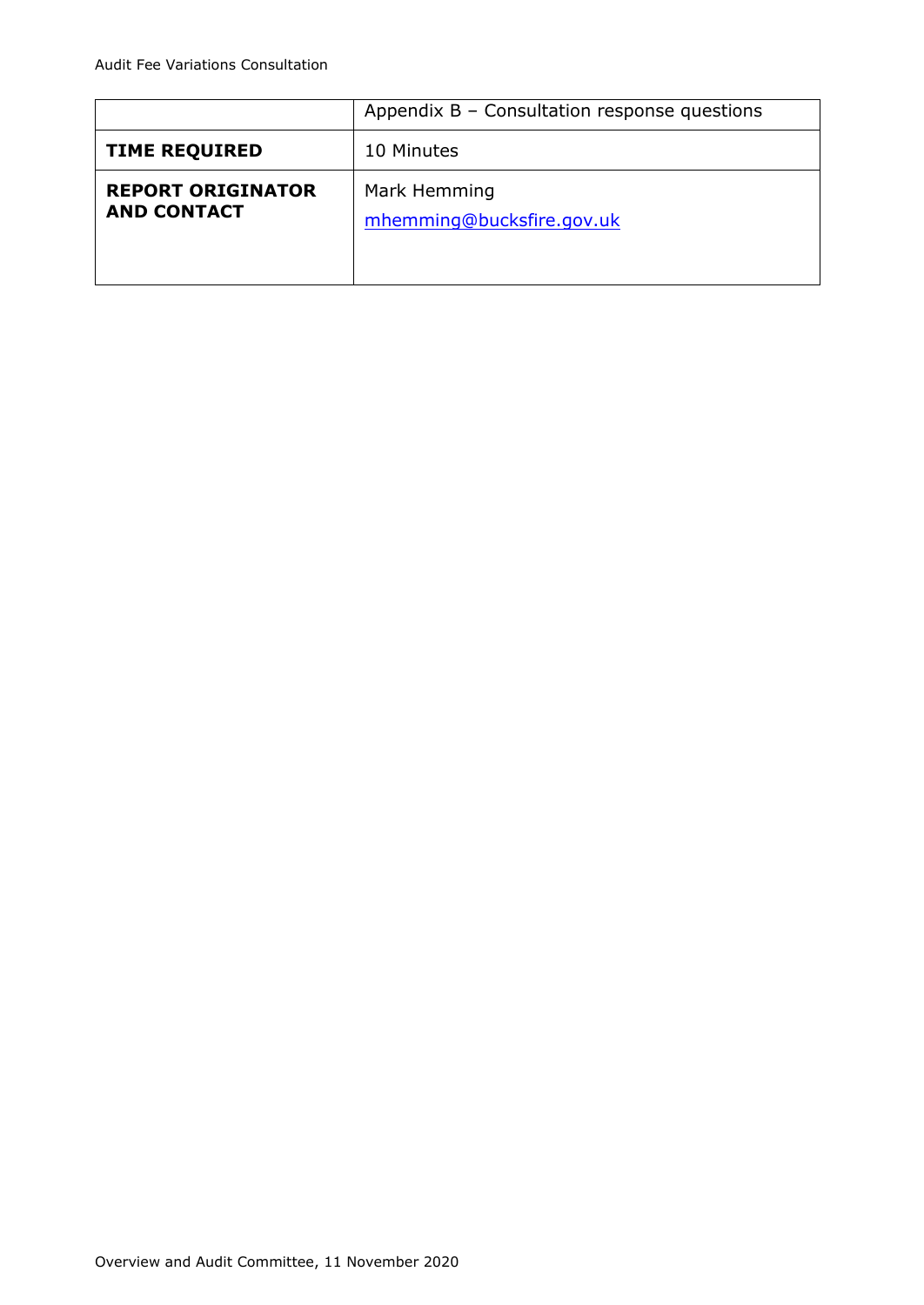|                                                | Appendix B - Consultation response questions |  |  |  |  |
|------------------------------------------------|----------------------------------------------|--|--|--|--|
| <b>TIME REQUIRED</b>                           | 10 Minutes                                   |  |  |  |  |
| <b>REPORT ORIGINATOR</b><br><b>AND CONTACT</b> | Mark Hemming<br>mhemming@bucksfire.gov.uk    |  |  |  |  |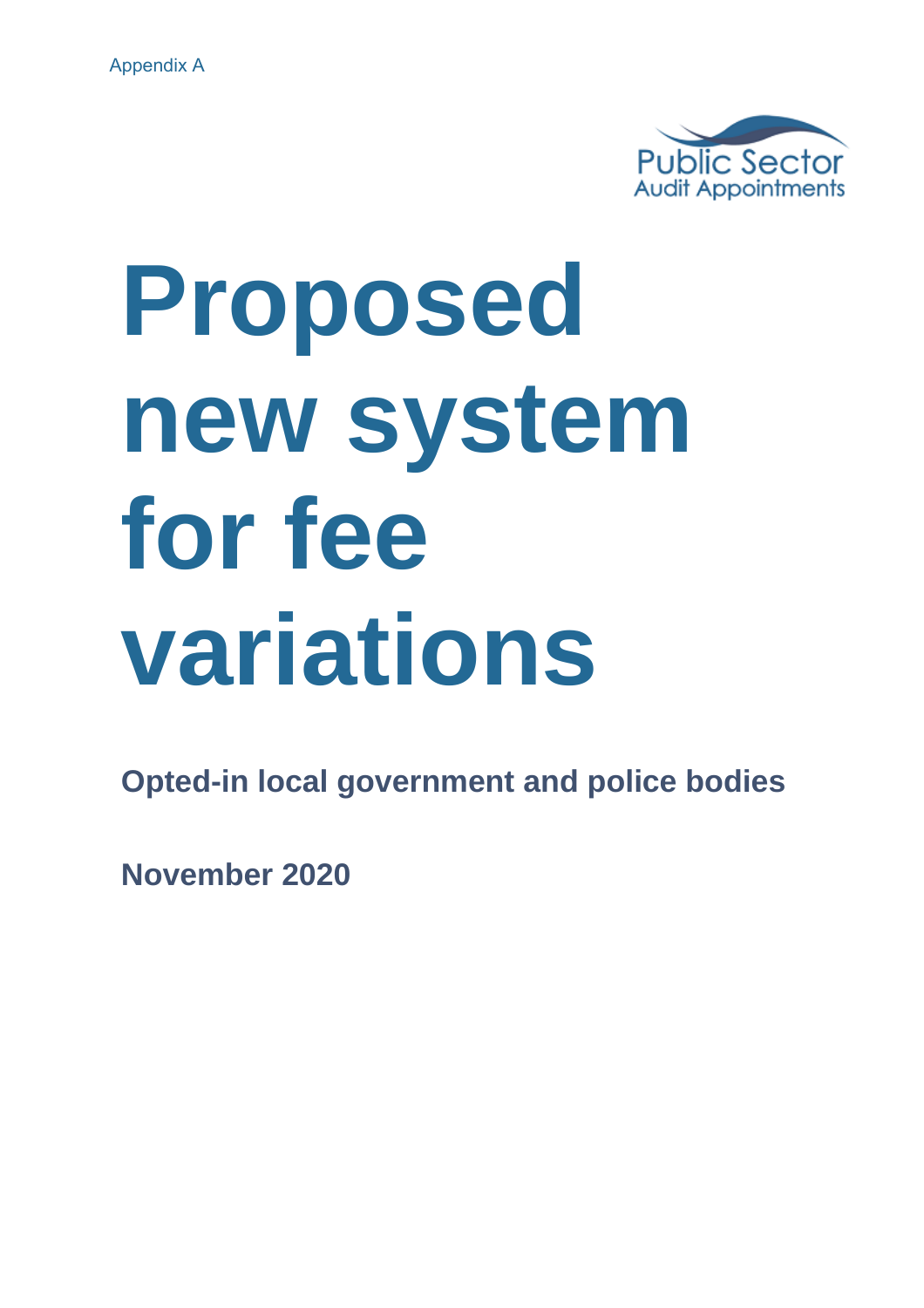

# **Proposed new system for fee variations**

**Opted-in local government and police bodies**

**November 2020**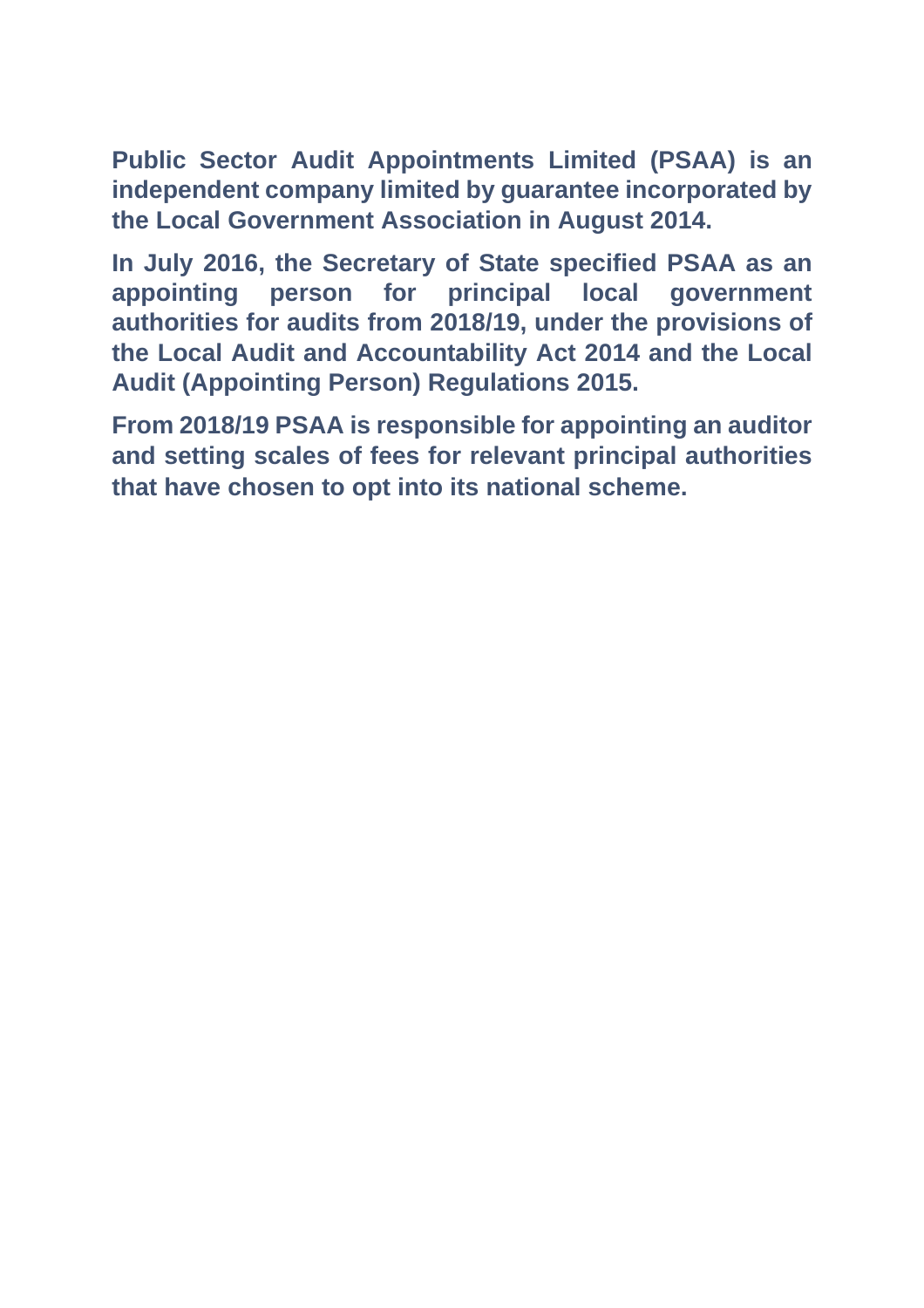**Public Sector Audit Appointments Limited (PSAA) is an independent company limited by guarantee incorporated by the Local Government Association in August 2014.**

**In July 2016, the Secretary of State specified PSAA as an appointing person for principal local government authorities for audits from 2018/19, under the provisions of the Local Audit and Accountability Act 2014 and the Local Audit (Appointing Person) Regulations 2015.**

**From 2018/19 PSAA is responsible for appointing an auditor and setting scales of fees for relevant principal authorities that have chosen to opt into its national scheme.**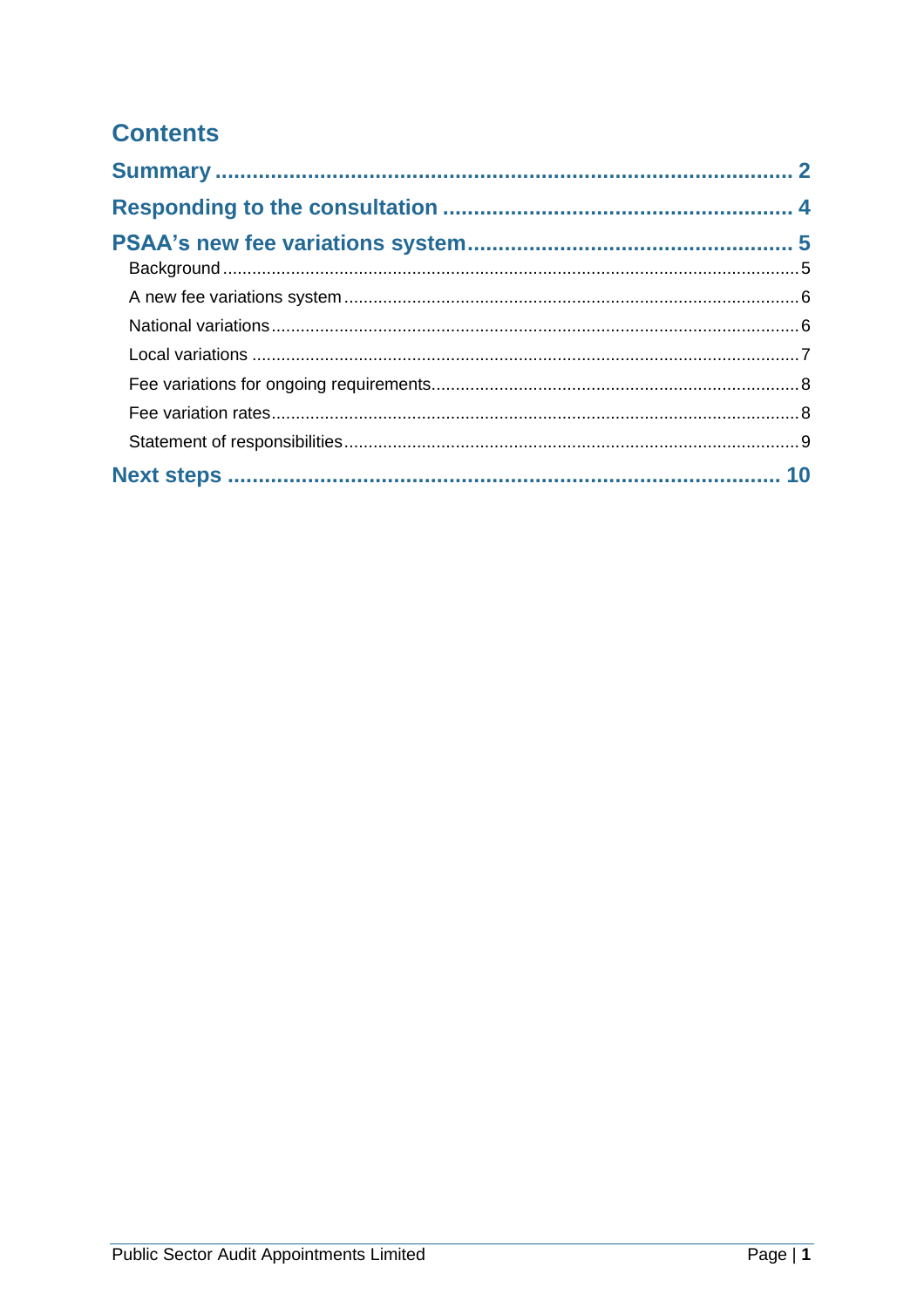# **Contents**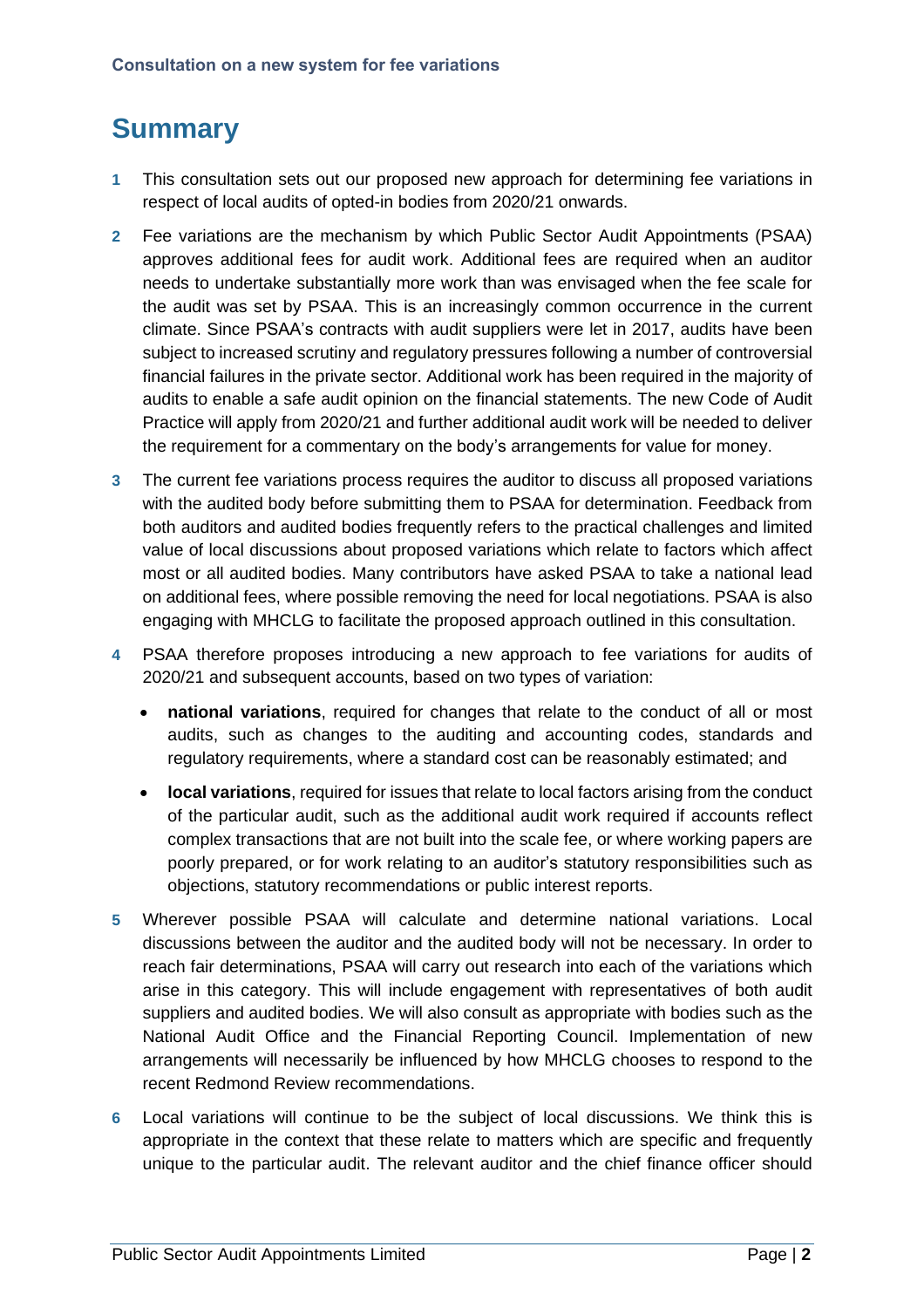# **Summary**

- **1** This consultation sets out our proposed new approach for determining fee variations in respect of local audits of opted-in bodies from 2020/21 onwards.
- **2** Fee variations are the mechanism by which Public Sector Audit Appointments (PSAA) approves additional fees for audit work. Additional fees are required when an auditor needs to undertake substantially more work than was envisaged when the fee scale for the audit was set by PSAA. This is an increasingly common occurrence in the current climate. Since PSAA's contracts with audit suppliers were let in 2017, audits have been subject to increased scrutiny and regulatory pressures following a number of controversial financial failures in the private sector. Additional work has been required in the majority of audits to enable a safe audit opinion on the financial statements. The new Code of Audit Practice will apply from 2020/21 and further additional audit work will be needed to deliver the requirement for a commentary on the body's arrangements for value for money.
- **3** The current fee variations process requires the auditor to discuss all proposed variations with the audited body before submitting them to PSAA for determination. Feedback from both auditors and audited bodies frequently refers to the practical challenges and limited value of local discussions about proposed variations which relate to factors which affect most or all audited bodies. Many contributors have asked PSAA to take a national lead on additional fees, where possible removing the need for local negotiations. PSAA is also engaging with MHCLG to facilitate the proposed approach outlined in this consultation.
- **4** PSAA therefore proposes introducing a new approach to fee variations for audits of 2020/21 and subsequent accounts, based on two types of variation:
	- **national variations**, required for changes that relate to the conduct of all or most audits, such as changes to the auditing and accounting codes, standards and regulatory requirements, where a standard cost can be reasonably estimated; and
	- **local variations**, required for issues that relate to local factors arising from the conduct of the particular audit, such as the additional audit work required if accounts reflect complex transactions that are not built into the scale fee, or where working papers are poorly prepared, or for work relating to an auditor's statutory responsibilities such as objections, statutory recommendations or public interest reports.
- **5** Wherever possible PSAA will calculate and determine national variations. Local discussions between the auditor and the audited body will not be necessary. In order to reach fair determinations, PSAA will carry out research into each of the variations which arise in this category. This will include engagement with representatives of both audit suppliers and audited bodies. We will also consult as appropriate with bodies such as the National Audit Office and the Financial Reporting Council. Implementation of new arrangements will necessarily be influenced by how MHCLG chooses to respond to the recent Redmond Review recommendations.
- **6** Local variations will continue to be the subject of local discussions. We think this is appropriate in the context that these relate to matters which are specific and frequently unique to the particular audit. The relevant auditor and the chief finance officer should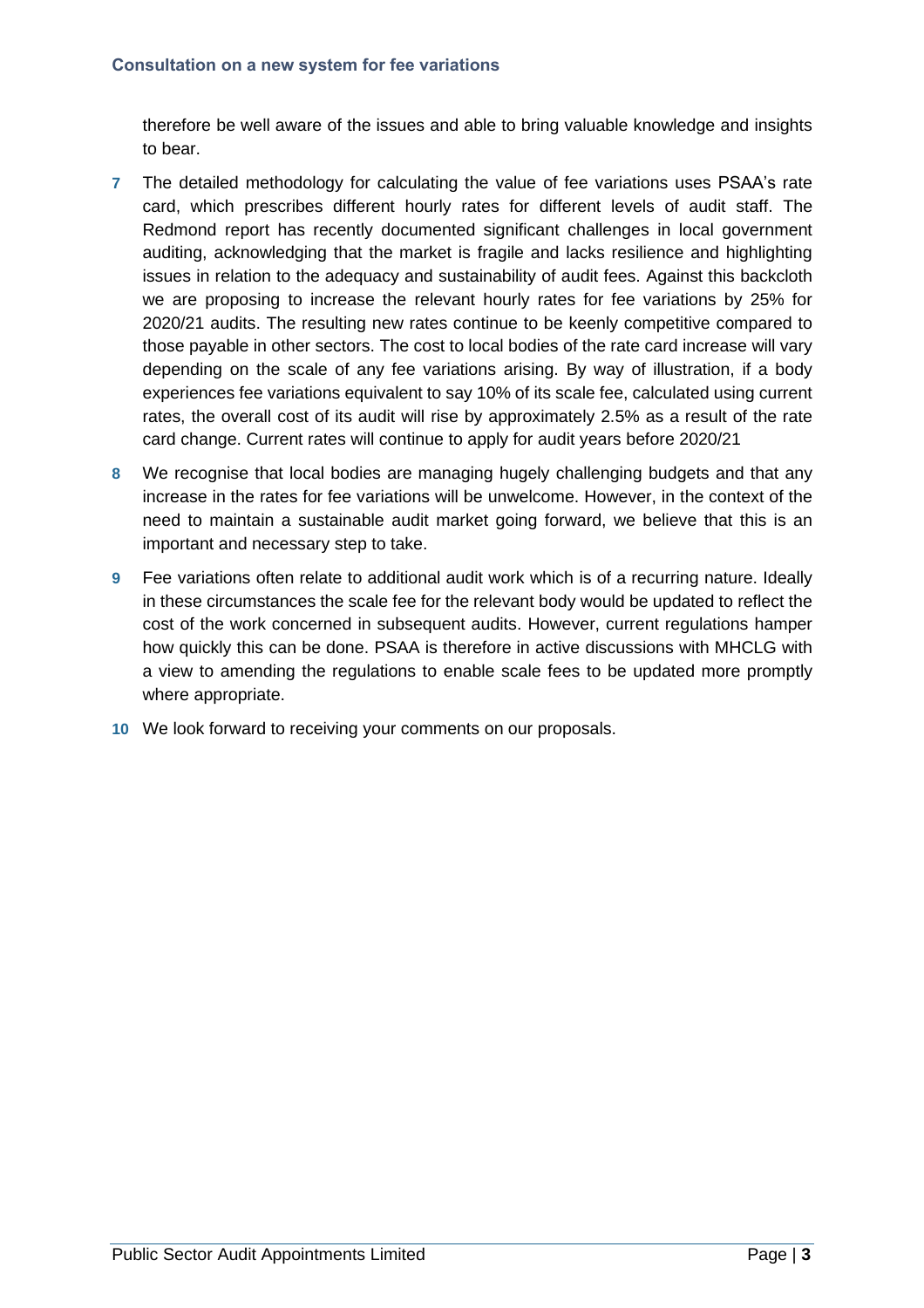therefore be well aware of the issues and able to bring valuable knowledge and insights to bear.

- **7** The detailed methodology for calculating the value of fee variations uses PSAA's rate card, which prescribes different hourly rates for different levels of audit staff. The Redmond report has recently documented significant challenges in local government auditing, acknowledging that the market is fragile and lacks resilience and highlighting issues in relation to the adequacy and sustainability of audit fees. Against this backcloth we are proposing to increase the relevant hourly rates for fee variations by 25% for 2020/21 audits. The resulting new rates continue to be keenly competitive compared to those payable in other sectors. The cost to local bodies of the rate card increase will vary depending on the scale of any fee variations arising. By way of illustration, if a body experiences fee variations equivalent to say 10% of its scale fee, calculated using current rates, the overall cost of its audit will rise by approximately 2.5% as a result of the rate card change. Current rates will continue to apply for audit years before 2020/21
- **8** We recognise that local bodies are managing hugely challenging budgets and that any increase in the rates for fee variations will be unwelcome. However, in the context of the need to maintain a sustainable audit market going forward, we believe that this is an important and necessary step to take.
- **9** Fee variations often relate to additional audit work which is of a recurring nature. Ideally in these circumstances the scale fee for the relevant body would be updated to reflect the cost of the work concerned in subsequent audits. However, current regulations hamper how quickly this can be done. PSAA is therefore in active discussions with MHCLG with a view to amending the regulations to enable scale fees to be updated more promptly where appropriate.
- **10** We look forward to receiving your comments on our proposals.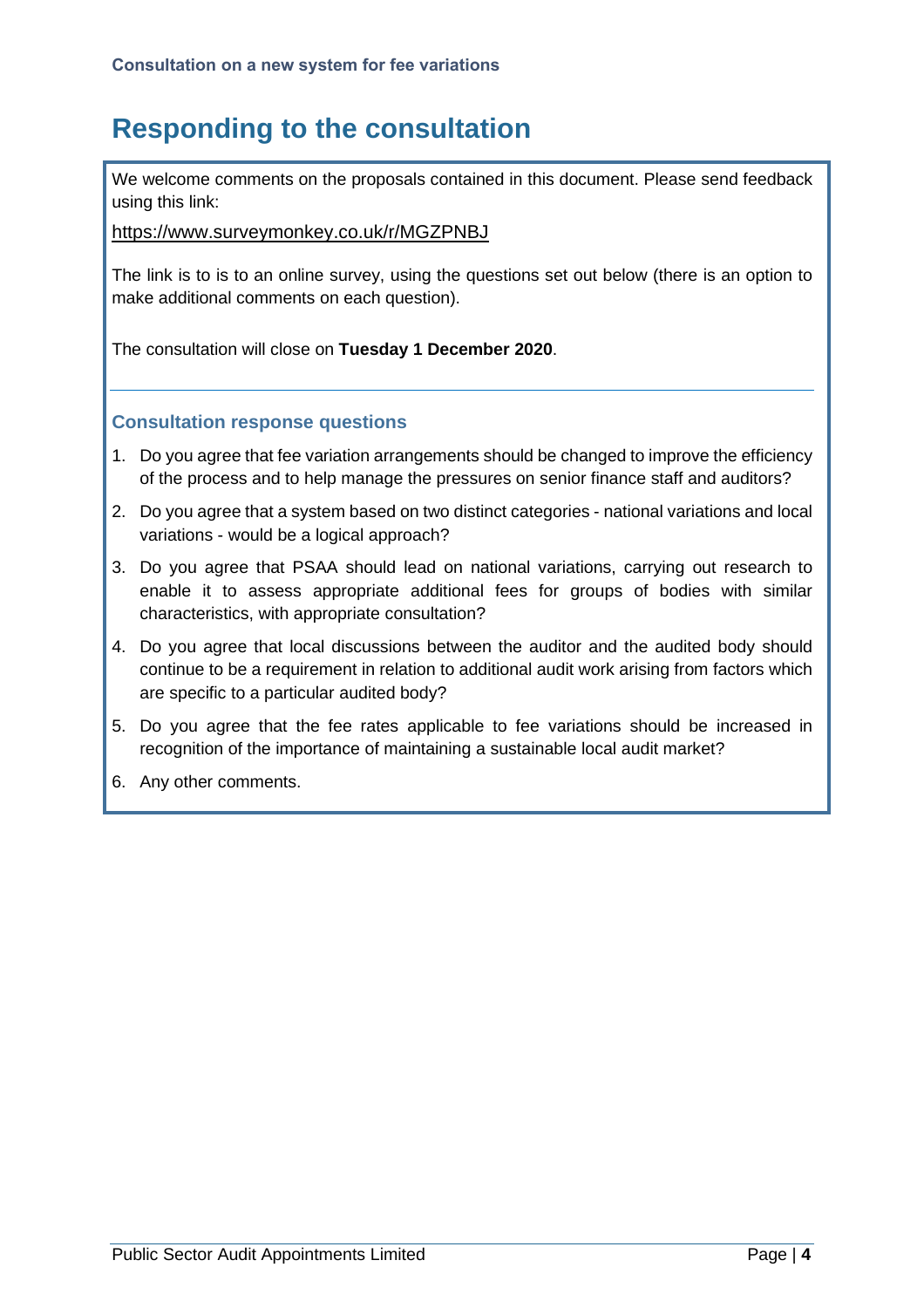# **Responding to the consultation**

We welcome comments on the proposals contained in this document. Please send feedback using this link:

<https://www.surveymonkey.co.uk/r/MGZPNBJ>

The link is to is to an online survey, using the questions set out below (there is an option to make additional comments on each question).

The consultation will close on **Tuesday 1 December 2020**.

#### **Consultation response questions**

- 1. Do you agree that fee variation arrangements should be changed to improve the efficiency of the process and to help manage the pressures on senior finance staff and auditors?
- 2. Do you agree that a system based on two distinct categories national variations and local variations - would be a logical approach?
- 3. Do you agree that PSAA should lead on national variations, carrying out research to enable it to assess appropriate additional fees for groups of bodies with similar characteristics, with appropriate consultation?
- 4. Do you agree that local discussions between the auditor and the audited body should continue to be a requirement in relation to additional audit work arising from factors which are specific to a particular audited body?
- 5. Do you agree that the fee rates applicable to fee variations should be increased in recognition of the importance of maintaining a sustainable local audit market?
- 6. Any other comments.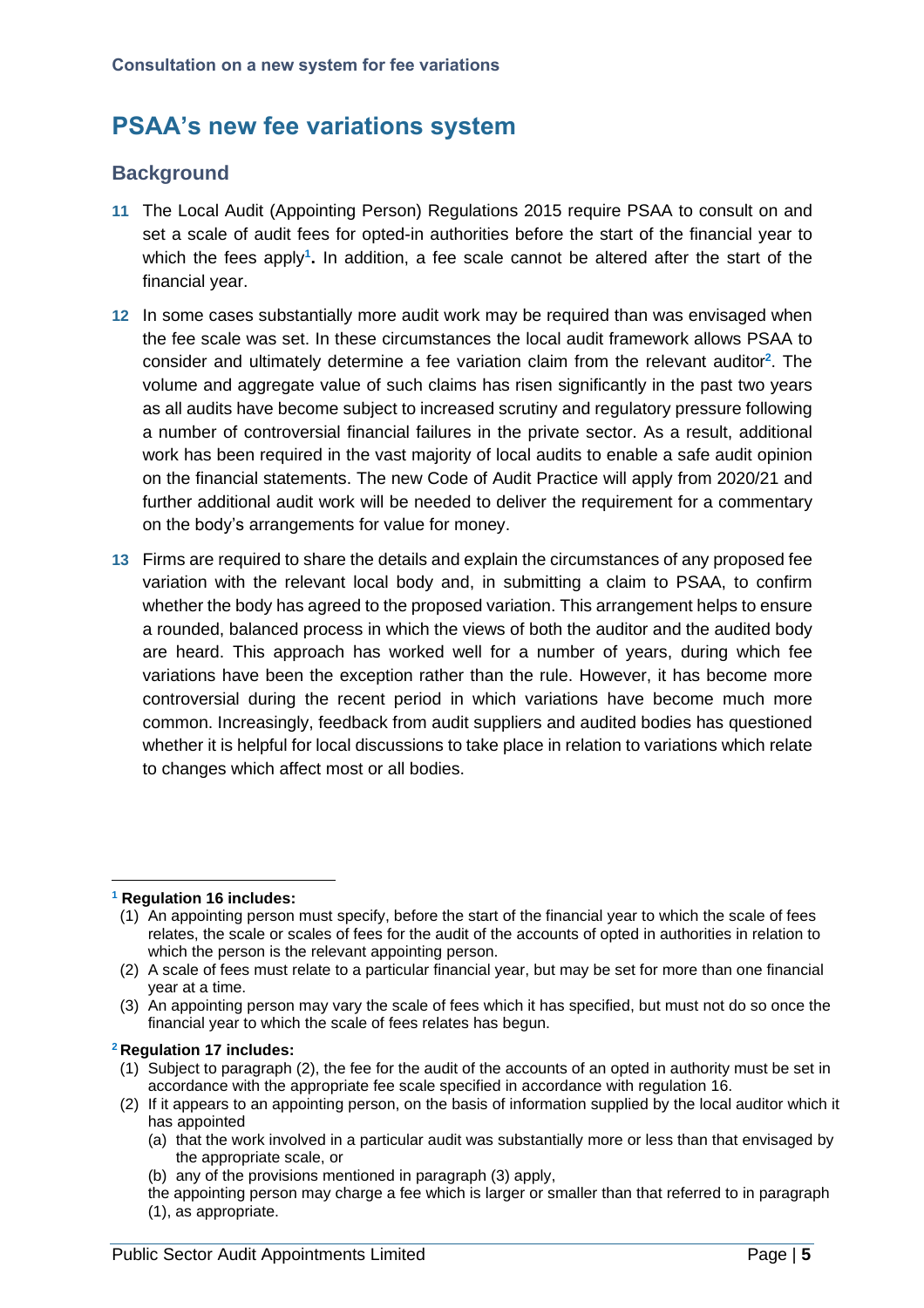## **PSAA's new fee variations system**

## **Background**

- **11** The Local Audit (Appointing Person) Regulations 2015 require PSAA to consult on and set a scale of audit fees for opted-in authorities before the start of the financial year to which the fees apply**<sup>1</sup> .** In addition, a fee scale cannot be altered after the start of the financial year.
- **12** In some cases substantially more audit work may be required than was envisaged when the fee scale was set. In these circumstances the local audit framework allows PSAA to consider and ultimately determine a fee variation claim from the relevant auditor**<sup>2</sup>** . The volume and aggregate value of such claims has risen significantly in the past two years as all audits have become subject to increased scrutiny and regulatory pressure following a number of controversial financial failures in the private sector. As a result, additional work has been required in the vast majority of local audits to enable a safe audit opinion on the financial statements. The new Code of Audit Practice will apply from 2020/21 and further additional audit work will be needed to deliver the requirement for a commentary on the body's arrangements for value for money.
- **13** Firms are required to share the details and explain the circumstances of any proposed fee variation with the relevant local body and, in submitting a claim to PSAA, to confirm whether the body has agreed to the proposed variation. This arrangement helps to ensure a rounded, balanced process in which the views of both the auditor and the audited body are heard. This approach has worked well for a number of years, during which fee variations have been the exception rather than the rule. However, it has become more controversial during the recent period in which variations have become much more common. Increasingly, feedback from audit suppliers and audited bodies has questioned whether it is helpful for local discussions to take place in relation to variations which relate to changes which affect most or all bodies.

#### **<sup>1</sup> Regulation 16 includes:**

- (1) An appointing person must specify, before the start of the financial year to which the scale of fees relates, the scale or scales of fees for the audit of the accounts of opted in authorities in relation to which the person is the relevant appointing person.
- (2) A scale of fees must relate to a particular financial year, but may be set for more than one financial year at a time.
- (3) An appointing person may vary the scale of fees which it has specified, but must not do so once the financial year to which the scale of fees relates has begun.

#### **<sup>2</sup> Regulation 17 includes:**

- (1) Subject to paragraph (2), the fee for the audit of the accounts of an opted in authority must be set in accordance with the appropriate fee scale specified in accordance with regulation 16.
- (2) If it appears to an appointing person, on the basis of information supplied by the local auditor which it has appointed
	- (a) that the work involved in a particular audit was substantially more or less than that envisaged by the appropriate scale, or
	- (b) any of the provisions mentioned in paragraph (3) apply,
	- the appointing person may charge a fee which is larger or smaller than that referred to in paragraph
	- (1), as appropriate.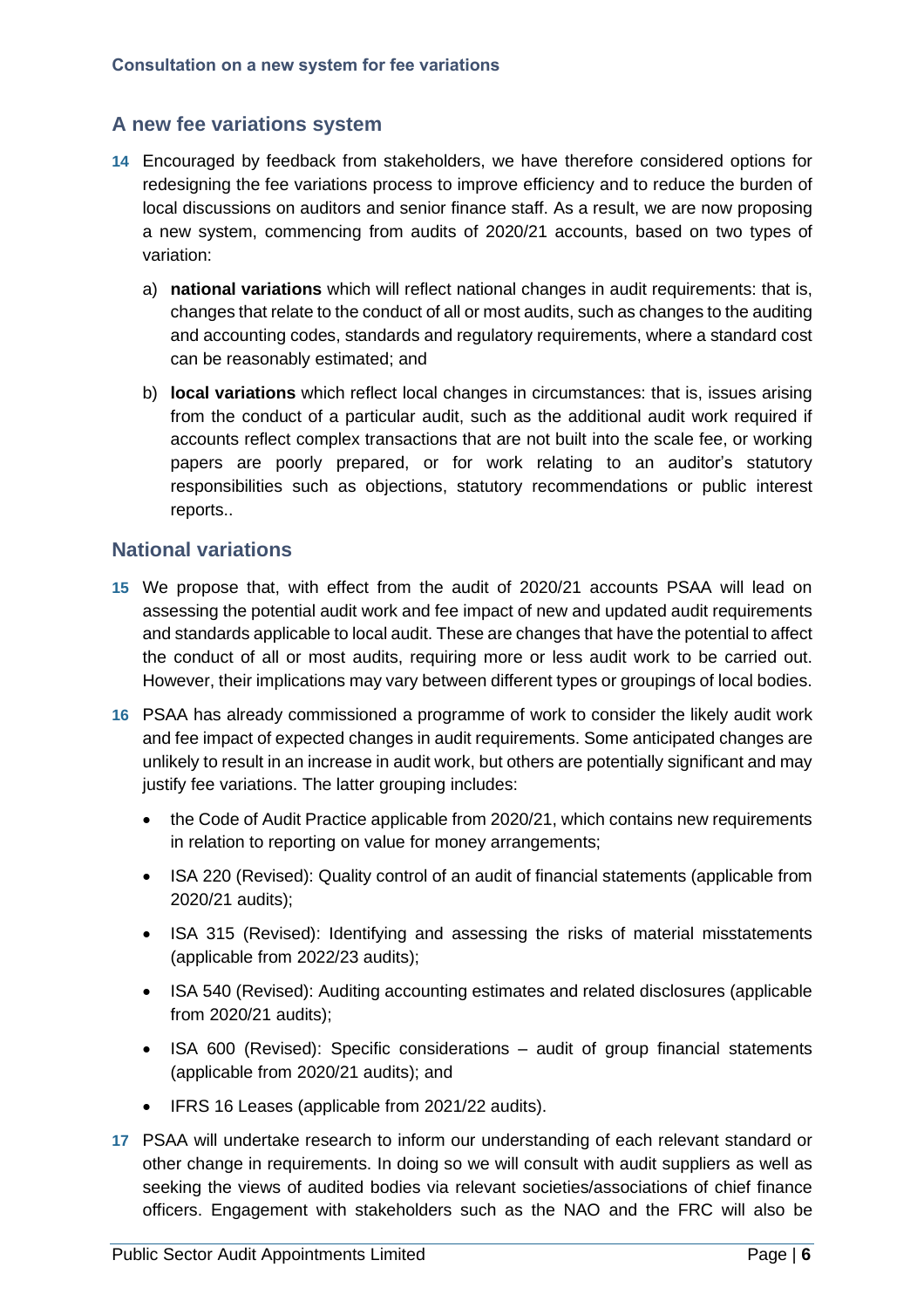## **A new fee variations system**

- **14** Encouraged by feedback from stakeholders, we have therefore considered options for redesigning the fee variations process to improve efficiency and to reduce the burden of local discussions on auditors and senior finance staff. As a result, we are now proposing a new system, commencing from audits of 2020/21 accounts, based on two types of variation:
	- a) **national variations** which will reflect national changes in audit requirements: that is, changes that relate to the conduct of all or most audits, such as changes to the auditing and accounting codes, standards and regulatory requirements, where a standard cost can be reasonably estimated; and
	- b) **local variations** which reflect local changes in circumstances: that is, issues arising from the conduct of a particular audit, such as the additional audit work required if accounts reflect complex transactions that are not built into the scale fee, or working papers are poorly prepared, or for work relating to an auditor's statutory responsibilities such as objections, statutory recommendations or public interest reports..

#### **National variations**

- **15** We propose that, with effect from the audit of 2020/21 accounts PSAA will lead on assessing the potential audit work and fee impact of new and updated audit requirements and standards applicable to local audit. These are changes that have the potential to affect the conduct of all or most audits, requiring more or less audit work to be carried out. However, their implications may vary between different types or groupings of local bodies.
- **16** PSAA has already commissioned a programme of work to consider the likely audit work and fee impact of expected changes in audit requirements. Some anticipated changes are unlikely to result in an increase in audit work, but others are potentially significant and may justify fee variations. The latter grouping includes:
	- the Code of Audit Practice applicable from 2020/21, which contains new requirements in relation to reporting on value for money arrangements;
	- ISA 220 (Revised): Quality control of an audit of financial statements (applicable from 2020/21 audits);
	- ISA 315 (Revised): Identifying and assessing the risks of material misstatements (applicable from 2022/23 audits);
	- ISA 540 (Revised): Auditing accounting estimates and related disclosures (applicable from 2020/21 audits);
	- ISA 600 (Revised): Specific considerations audit of group financial statements (applicable from 2020/21 audits); and
	- IFRS 16 Leases (applicable from 2021/22 audits).
- **17** PSAA will undertake research to inform our understanding of each relevant standard or other change in requirements. In doing so we will consult with audit suppliers as well as seeking the views of audited bodies via relevant societies/associations of chief finance officers. Engagement with stakeholders such as the NAO and the FRC will also be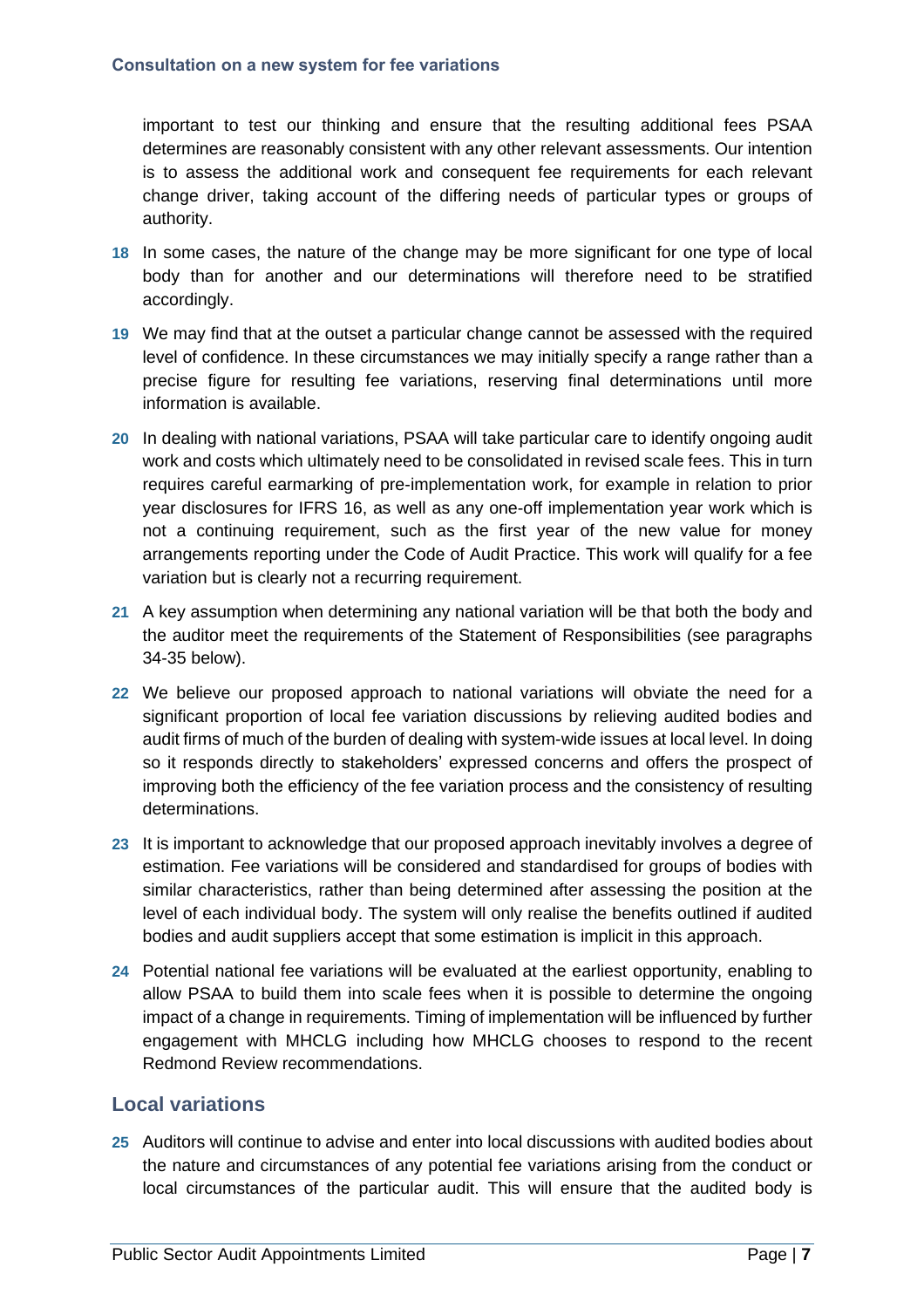important to test our thinking and ensure that the resulting additional fees PSAA determines are reasonably consistent with any other relevant assessments. Our intention is to assess the additional work and consequent fee requirements for each relevant change driver, taking account of the differing needs of particular types or groups of authority.

- **18** In some cases, the nature of the change may be more significant for one type of local body than for another and our determinations will therefore need to be stratified accordingly.
- **19** We may find that at the outset a particular change cannot be assessed with the required level of confidence. In these circumstances we may initially specify a range rather than a precise figure for resulting fee variations, reserving final determinations until more information is available.
- **20** In dealing with national variations, PSAA will take particular care to identify ongoing audit work and costs which ultimately need to be consolidated in revised scale fees. This in turn requires careful earmarking of pre-implementation work, for example in relation to prior year disclosures for IFRS 16, as well as any one-off implementation year work which is not a continuing requirement, such as the first year of the new value for money arrangements reporting under the Code of Audit Practice. This work will qualify for a fee variation but is clearly not a recurring requirement.
- **21** A key assumption when determining any national variation will be that both the body and the auditor meet the requirements of the Statement of Responsibilities (see paragraphs 34-35 below).
- **22** We believe our proposed approach to national variations will obviate the need for a significant proportion of local fee variation discussions by relieving audited bodies and audit firms of much of the burden of dealing with system-wide issues at local level. In doing so it responds directly to stakeholders' expressed concerns and offers the prospect of improving both the efficiency of the fee variation process and the consistency of resulting determinations.
- **23** It is important to acknowledge that our proposed approach inevitably involves a degree of estimation. Fee variations will be considered and standardised for groups of bodies with similar characteristics, rather than being determined after assessing the position at the level of each individual body. The system will only realise the benefits outlined if audited bodies and audit suppliers accept that some estimation is implicit in this approach.
- **24** Potential national fee variations will be evaluated at the earliest opportunity, enabling to allow PSAA to build them into scale fees when it is possible to determine the ongoing impact of a change in requirements. Timing of implementation will be influenced by further engagement with MHCLG including how MHCLG chooses to respond to the recent Redmond Review recommendations.

## **Local variations**

**25** Auditors will continue to advise and enter into local discussions with audited bodies about the nature and circumstances of any potential fee variations arising from the conduct or local circumstances of the particular audit. This will ensure that the audited body is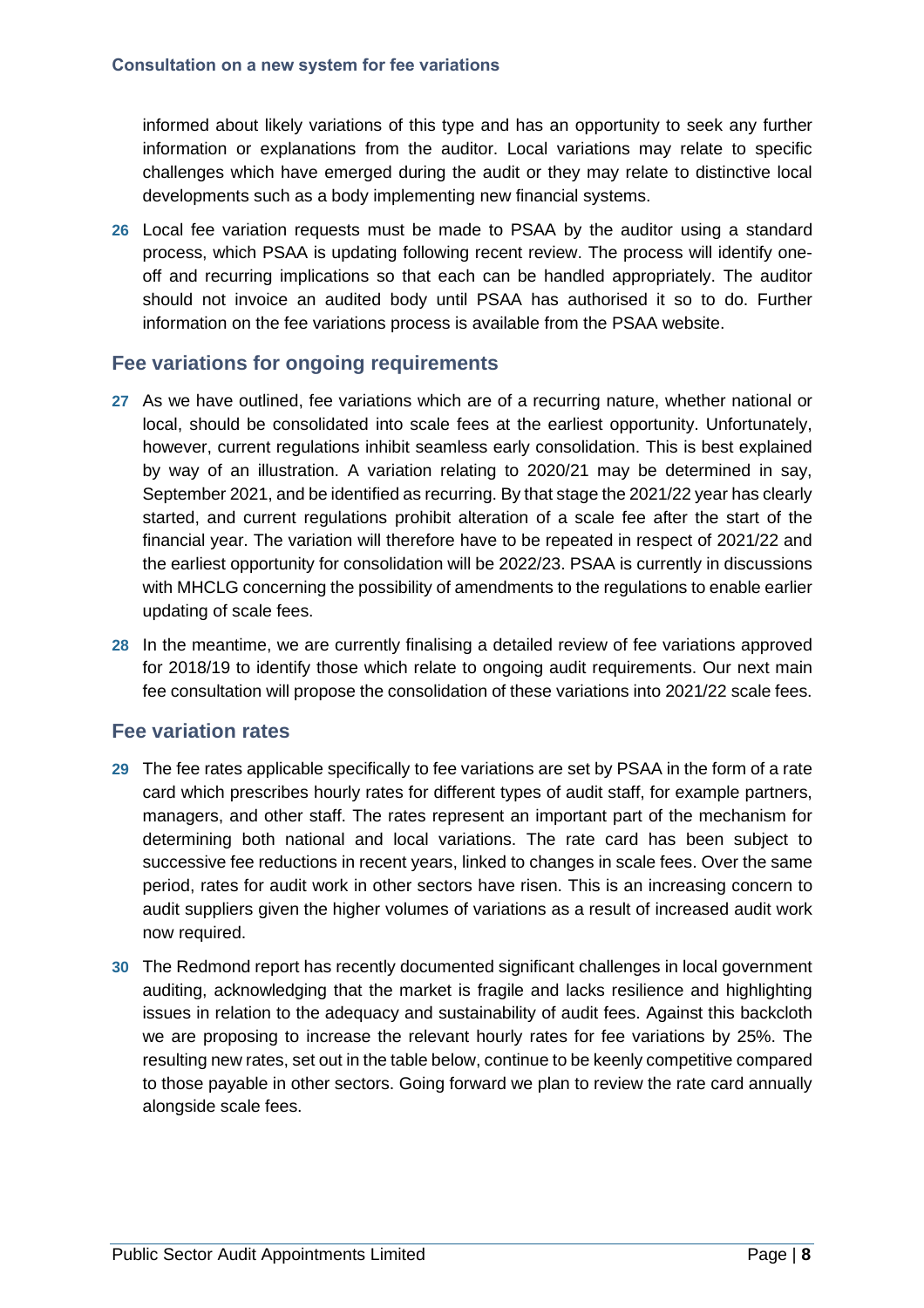informed about likely variations of this type and has an opportunity to seek any further information or explanations from the auditor. Local variations may relate to specific challenges which have emerged during the audit or they may relate to distinctive local developments such as a body implementing new financial systems.

**26** Local fee variation requests must be made to PSAA by the auditor using a standard process, which PSAA is updating following recent review. The process will identify oneoff and recurring implications so that each can be handled appropriately. The auditor should not invoice an audited body until PSAA has authorised it so to do. Further information on the fee variations process is available from the PSAA website.

#### **Fee variations for ongoing requirements**

- **27** As we have outlined, fee variations which are of a recurring nature, whether national or local, should be consolidated into scale fees at the earliest opportunity. Unfortunately, however, current regulations inhibit seamless early consolidation. This is best explained by way of an illustration. A variation relating to 2020/21 may be determined in say, September 2021, and be identified as recurring. By that stage the 2021/22 year has clearly started, and current regulations prohibit alteration of a scale fee after the start of the financial year. The variation will therefore have to be repeated in respect of 2021/22 and the earliest opportunity for consolidation will be 2022/23. PSAA is currently in discussions with MHCLG concerning the possibility of amendments to the regulations to enable earlier updating of scale fees.
- **28** In the meantime, we are currently finalising a detailed review of fee variations approved for 2018/19 to identify those which relate to ongoing audit requirements. Our next main fee consultation will propose the consolidation of these variations into 2021/22 scale fees.

## **Fee variation rates**

- **29** The fee rates applicable specifically to fee variations are set by PSAA in the form of a rate card which prescribes hourly rates for different types of audit staff, for example partners, managers, and other staff. The rates represent an important part of the mechanism for determining both national and local variations. The rate card has been subject to successive fee reductions in recent years, linked to changes in scale fees. Over the same period, rates for audit work in other sectors have risen. This is an increasing concern to audit suppliers given the higher volumes of variations as a result of increased audit work now required.
- **30** The Redmond report has recently documented significant challenges in local government auditing, acknowledging that the market is fragile and lacks resilience and highlighting issues in relation to the adequacy and sustainability of audit fees. Against this backcloth we are proposing to increase the relevant hourly rates for fee variations by 25%. The resulting new rates, set out in the table below, continue to be keenly competitive compared to those payable in other sectors. Going forward we plan to review the rate card annually alongside scale fees.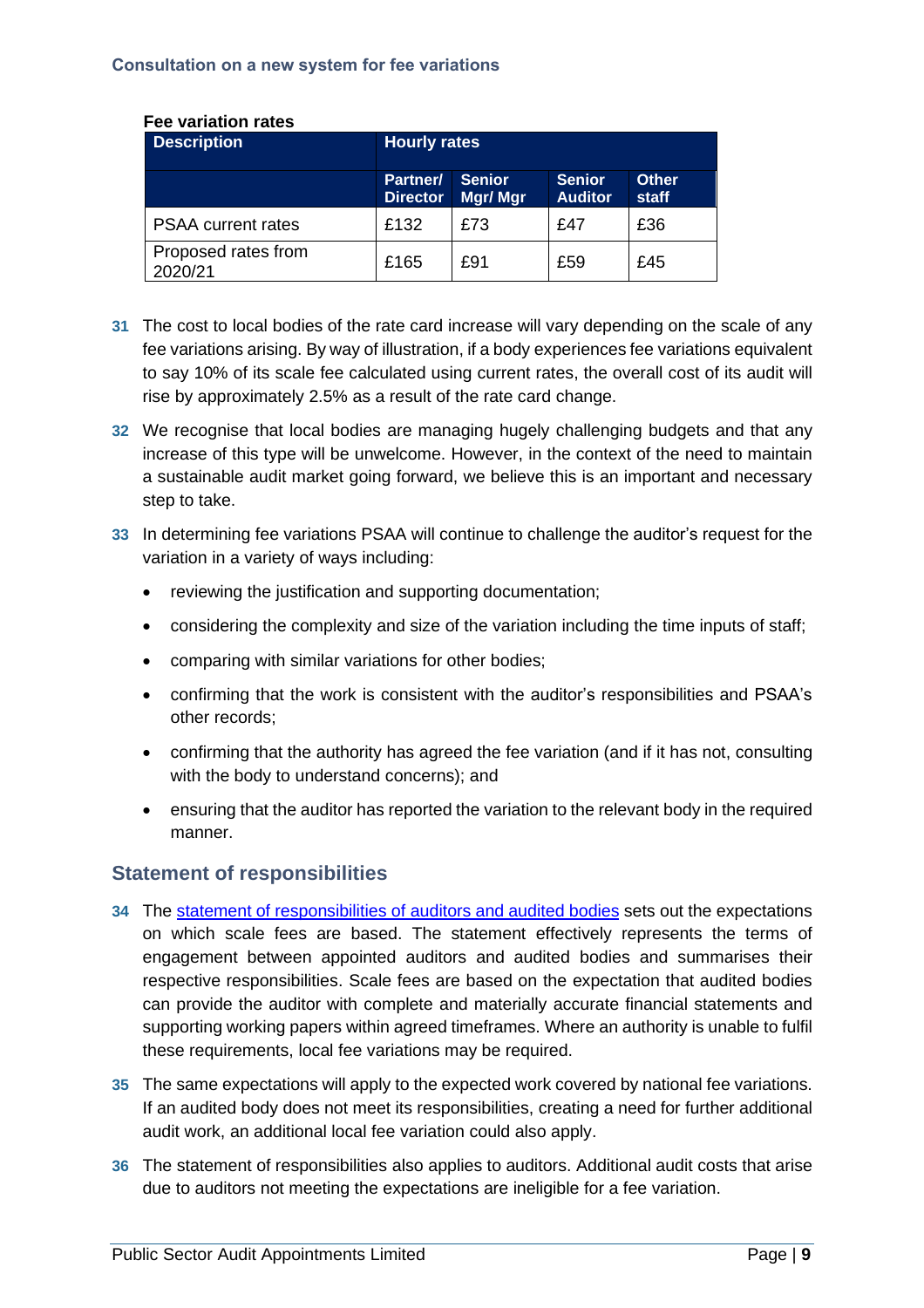| <b>Description</b>             | <b>Hourly rates</b>                |                          |                                 |                        |  |
|--------------------------------|------------------------------------|--------------------------|---------------------------------|------------------------|--|
|                                | <b>Partner/</b><br><b>Director</b> | <b>Senior</b><br>Mgr/Mgr | <b>Senior</b><br><b>Auditor</b> | Other.<br><b>staff</b> |  |
| <b>PSAA</b> current rates      | £132                               | £73                      | £47                             | £36                    |  |
| Proposed rates from<br>2020/21 | £165                               | £91                      | £59                             | £45                    |  |

#### **Fee variation rates**

- **31** The cost to local bodies of the rate card increase will vary depending on the scale of any fee variations arising. By way of illustration, if a body experiences fee variations equivalent to say 10% of its scale fee calculated using current rates, the overall cost of its audit will rise by approximately 2.5% as a result of the rate card change.
- **32** We recognise that local bodies are managing hugely challenging budgets and that any increase of this type will be unwelcome. However, in the context of the need to maintain a sustainable audit market going forward, we believe this is an important and necessary step to take.
- **33** In determining fee variations PSAA will continue to challenge the auditor's request for the variation in a variety of ways including:
	- reviewing the justification and supporting documentation;
	- considering the complexity and size of the variation including the time inputs of staff;
	- comparing with similar variations for other bodies;
	- confirming that the work is consistent with the auditor's responsibilities and PSAA's other records;
	- confirming that the authority has agreed the fee variation (and if it has not, consulting with the body to understand concerns); and
	- ensuring that the auditor has reported the variation to the relevant body in the required manner.

## **Statement of responsibilities**

- **34** The statement of [responsibilities](https://www.psaa.co.uk/managing-audit-quality/statement-of-responsibilities-of-auditors-and-audited-bodies/) of auditors and audited bodies sets out the expectations on which scale fees are based. The statement effectively represents the terms of engagement between appointed auditors and audited bodies and summarises their respective responsibilities. Scale fees are based on the expectation that audited bodies can provide the auditor with complete and materially accurate financial statements and supporting working papers within agreed timeframes. Where an authority is unable to fulfil these requirements, local fee variations may be required.
- **35** The same expectations will apply to the expected work covered by national fee variations. If an audited body does not meet its responsibilities, creating a need for further additional audit work, an additional local fee variation could also apply.
- **36** The statement of responsibilities also applies to auditors. Additional audit costs that arise due to auditors not meeting the expectations are ineligible for a fee variation.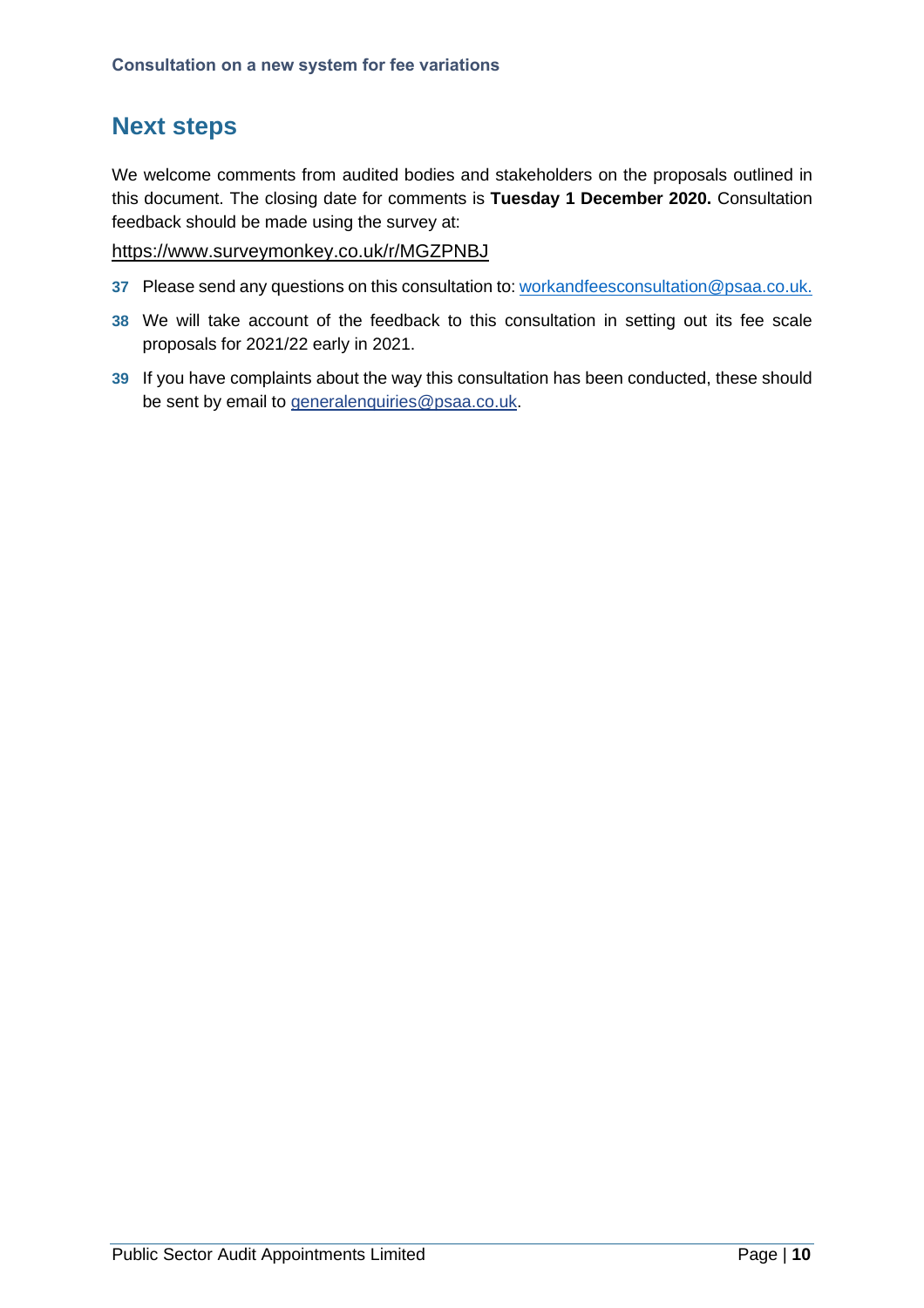## **Next steps**

We welcome comments from audited bodies and stakeholders on the proposals outlined in this document. The closing date for comments is **Tuesday 1 December 2020.** Consultation feedback should be made using the survey at:

#### <https://www.surveymonkey.co.uk/r/MGZPNBJ>

- **37** Please send any questions on this consultation to: [workandfeesconsultation@psaa.co.uk.](mailto:workandfeesconsultation@psaa.co.uk)
- **38** We will take account of the feedback to this consultation in setting out its fee scale proposals for 2021/22 early in 2021.
- **39** If you have complaints about the way this consultation has been conducted, these should be sent by email to [generalenquiries@psaa.co.uk.](mailto:generalenquiries@psaa.co.uk)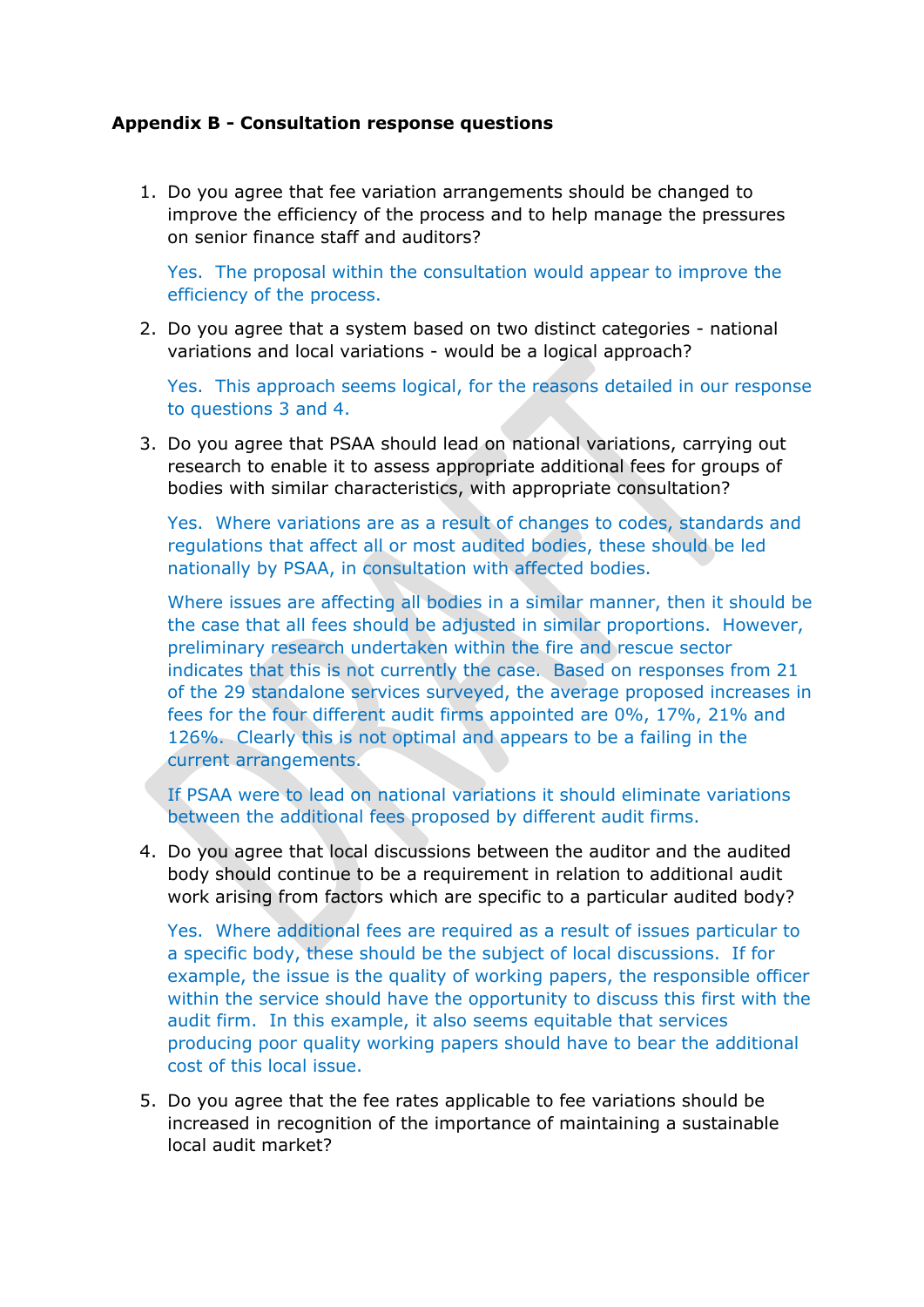#### **Appendix B - Consultation response questions**

1. Do you agree that fee variation arrangements should be changed to improve the efficiency of the process and to help manage the pressures on senior finance staff and auditors?

Yes. The proposal within the consultation would appear to improve the efficiency of the process.

2. Do you agree that a system based on two distinct categories - national variations and local variations - would be a logical approach?

Yes. This approach seems logical, for the reasons detailed in our response to questions 3 and 4.

3. Do you agree that PSAA should lead on national variations, carrying out research to enable it to assess appropriate additional fees for groups of bodies with similar characteristics, with appropriate consultation?

Yes. Where variations are as a result of changes to codes, standards and regulations that affect all or most audited bodies, these should be led nationally by PSAA, in consultation with affected bodies.

Where issues are affecting all bodies in a similar manner, then it should be the case that all fees should be adjusted in similar proportions. However, preliminary research undertaken within the fire and rescue sector indicates that this is not currently the case. Based on responses from 21 of the 29 standalone services surveyed, the average proposed increases in fees for the four different audit firms appointed are 0%, 17%, 21% and 126%. Clearly this is not optimal and appears to be a failing in the current arrangements.

If PSAA were to lead on national variations it should eliminate variations between the additional fees proposed by different audit firms.

4. Do you agree that local discussions between the auditor and the audited body should continue to be a requirement in relation to additional audit work arising from factors which are specific to a particular audited body?

Yes. Where additional fees are required as a result of issues particular to a specific body, these should be the subject of local discussions. If for example, the issue is the quality of working papers, the responsible officer within the service should have the opportunity to discuss this first with the audit firm. In this example, it also seems equitable that services producing poor quality working papers should have to bear the additional cost of this local issue.

5. Do you agree that the fee rates applicable to fee variations should be increased in recognition of the importance of maintaining a sustainable local audit market?